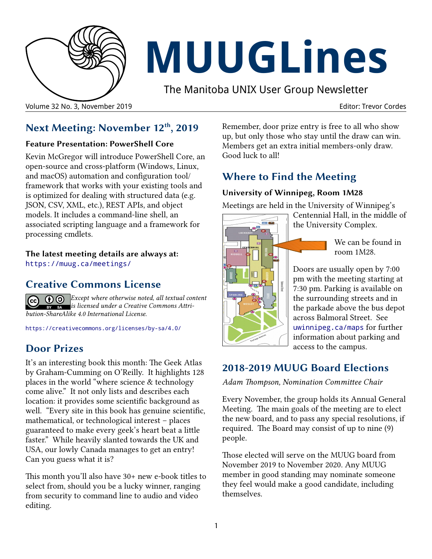

# **MUUGLines**

The Manitoba UNIX User Group Newsletter

#### Volume 32 No. 3, November 2019 Editor: Trevor Cordes

## **Next Meeting: November 12th, 2019**

#### **Feature Presentation: PowerShell Core**

Kevin McGregor will introduce PowerShell Core, an open-source and cross-platform (Windows, Linux, and macOS) automation and configuration tool/ framework that works with your existing tools and is optimized for dealing with structured data (e.g. JSON, CSV, XML, etc.), REST APIs, and object models. It includes a command-line shell, an associated scripting language and a framework for processing cmdlets.

**The latest meeting details are always at:**

[https://muug.ca/meetings/](https://www.muug.mb.ca/meetings/)

## **Creative Commons License**

*Except where otherwise noted, all textual content is licensed under a Creative Commons Attribution-ShareAlike 4.0 International License.*

<https://creativecommons.org/licenses/by-sa/4.0/>

# **Door Prizes**

It's an interesting book this month: The Geek Atlas by Graham-Cumming on O'Reilly. It highlights 128 places in the world "where science & technology come alive." It not only lists and describes each location: it provides some scientific background as well. "Every site in this book has genuine scientific, mathematical, or technological interest – places guaranteed to make every geek's heart beat a little faster." While heavily slanted towards the UK and USA, our lowly Canada manages to get an entry! Can you guess what it is?

This month you'll also have 30+ new e-book titles to select from, should you be a lucky winner, ranging from security to command line to audio and video editing.

Remember, door prize entry is free to all who show up, but only those who stay until the draw can win. Members get an extra initial members-only draw. Good luck to all!

# **Where to Find the Meeting**

#### **University of Winnipeg, Room 1M28**

Meetings are held in the University of Winnipeg's



Centennial Hall, in the middle of the University Complex.

> We can be found in room 1M28.

Doors are usually open by 7:00 pm with the meeting starting at 7:30 pm. Parking is available on the surrounding streets and in the parkade above the bus depot across Balmoral Street. See [uwinnipeg.ca/maps](http://www.uwinnipeg.ca/maps) for further information about parking and access to the campus.

## **2018-2019 MUUG Board Elections**

*Adam Thompson, Nomination Committee Chair*

Every November, the group holds its Annual General Meeting. The main goals of the meeting are to elect the new board, and to pass any special resolutions, if required. The Board may consist of up to nine (9) people.

Those elected will serve on the MUUG board from November 2019 to November 2020. Any MUUG member in good standing may nominate someone they feel would make a good candidate, including themselves.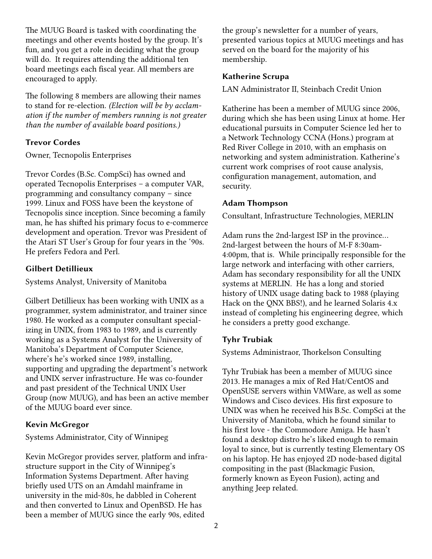The MUUG Board is tasked with coordinating the meetings and other events hosted by the group. It's fun, and you get a role in deciding what the group will do. It requires attending the additional ten board meetings each fiscal year. All members are encouraged to apply.

The following 8 members are allowing their names to stand for re-election. *(Election will be by acclamation if the number of members running is not greater than the number of available board positions.)*

#### **Trevor Cordes**

Owner, Tecnopolis Enterprises

Trevor Cordes (B.Sc. CompSci) has owned and operated Tecnopolis Enterprises – a computer VAR, programming and consultancy company – since 1999. Linux and FOSS have been the keystone of Tecnopolis since inception. Since becoming a family man, he has shifted his primary focus to e-commerce development and operation. Trevor was President of the Atari ST User's Group for four years in the '90s. He prefers Fedora and Perl.

#### **Gilbert Detillieux**

Systems Analyst, University of Manitoba

Gilbert Detillieux has been working with UNIX as a programmer, system administrator, and trainer since 1980. He worked as a computer consultant specializing in UNIX, from 1983 to 1989, and is currently working as a Systems Analyst for the University of Manitoba's Department of Computer Science, where's he's worked since 1989, installing, supporting and upgrading the department's network and UNIX server infrastructure. He was co-founder and past president of the Technical UNIX User Group (now MUUG), and has been an active member of the MUUG board ever since.

#### **Kevin McGregor**

Systems Administrator, City of Winnipeg

Kevin McGregor provides server, platform and infrastructure support in the City of Winnipeg's Information Systems Department. After having briefly used UTS on an Amdahl mainframe in university in the mid-80s, he dabbled in Coherent and then converted to Linux and OpenBSD. He has been a member of MUUG since the early 90s, edited

the group's newsletter for a number of years, presented various topics at MUUG meetings and has served on the board for the majority of his membership.

#### **Katherine Scrupa**

LAN Administrator II, Steinbach Credit Union

Katherine has been a member of MUUG since 2006, during which she has been using Linux at home. Her educational pursuits in Computer Science led her to a Network Technology CCNA (Hons.) program at Red River College in 2010, with an emphasis on networking and system administration. Katherine's current work comprises of root cause analysis, configuration management, automation, and security.

#### **Adam Thompson**

Consultant, Infrastructure Technologies, MERLIN

Adam runs the 2nd-largest ISP in the province... 2nd-largest between the hours of M-F 8:30am-4:00pm, that is. While principally responsible for the large network and interfacing with other carriers, Adam has secondary responsibility for all the UNIX systems at MERLIN. He has a long and storied history of UNIX usage dating back to 1988 (playing Hack on the QNX BBS!), and he learned Solaris 4.x instead of completing his engineering degree, which he considers a pretty good exchange.

#### **Tyhr Trubiak**

Systems Administraor, Thorkelson Consulting

Tyhr Trubiak has been a member of MUUG since 2013. He manages a mix of Red Hat/CentOS and OpenSUSE servers within VMWare, as well as some Windows and Cisco devices. His first exposure to UNIX was when he received his B.Sc. CompSci at the University of Manitoba, which he found similar to his first love - the Commodore Amiga. He hasn't found a desktop distro he's liked enough to remain loyal to since, but is currently testing Elementary OS on his laptop. He has enjoyed 2D node-based digital compositing in the past (Blackmagic Fusion, formerly known as Eyeon Fusion), acting and anything Jeep related.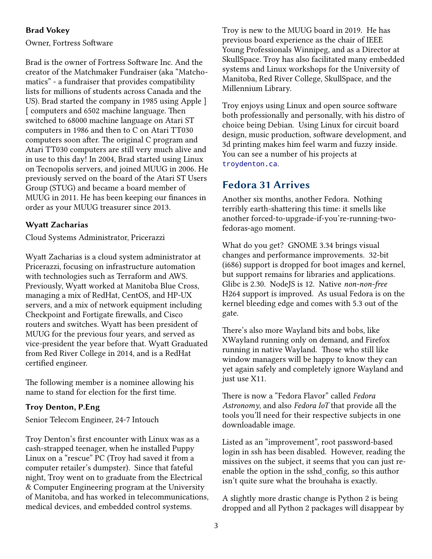#### **Brad Vokey**

Owner, Fortress Software

Brad is the owner of Fortress Software Inc. And the creator of the Matchmaker Fundraiser (aka "Matchomatics" - a fundraiser that provides compatibility lists for millions of students across Canada and the US). Brad started the company in 1985 using Apple ] [ computers and 6502 machine language. Then switched to 68000 machine language on Atari ST computers in 1986 and then to C on Atari TT030 computers soon after. The original C program and Atari TT030 computers are still very much alive and in use to this day! In 2004, Brad started using Linux on Tecnopolis servers, and joined MUUG in 2006. He previously served on the board of the Atari ST Users Group (STUG) and became a board member of MUUG in 2011. He has been keeping our finances in order as your MUUG treasurer since 2013.

#### **Wyatt Zacharias**

Cloud Systems Administrator, Pricerazzi

Wyatt Zacharias is a cloud system administrator at Pricerazzi, focusing on infrastructure automation with technologies such as Terraform and AWS. Previously, Wyatt worked at Manitoba Blue Cross, managing a mix of RedHat, CentOS, and HP-UX servers, and a mix of network equipment including Checkpoint and Fortigate firewalls, and Cisco routers and switches. Wyatt has been president of MUUG for the previous four years, and served as vice-president the year before that. Wyatt Graduated from Red River College in 2014, and is a RedHat certified engineer.

The following member is a nominee allowing his name to stand for election for the first time.

#### **Troy Denton, P.Eng**

Senior Telecom Engineer, 24-7 Intouch

Troy Denton's first encounter with Linux was as a cash-strapped teenager, when he installed Puppy Linux on a "rescue" PC (Troy had saved it from a computer retailer's dumpster). Since that fateful night, Troy went on to graduate from the Electrical & Computer Engineering program at the University of Manitoba, and has worked in telecommunications, medical devices, and embedded control systems.

Troy is new to the MUUG board in 2019. He has previous board experience as the chair of IEEE Young Professionals Winnipeg, and as a Director at SkullSpace. Troy has also facilitated many embedded systems and Linux workshops for the University of Manitoba, Red River College, SkullSpace, and the Millennium Library.

Troy enjoys using Linux and open source software both professionally and personally, with his distro of choice being Debian. Using Linux for circuit board design, music production, software development, and 3d printing makes him feel warm and fuzzy inside. You can see a number of his projects at [troydenton.ca](http://troydenton.ca/).

### **Fedora 31 Arrives**

Another six months, another Fedora. Nothing terribly earth-shattering this time: it smells like another forced-to-upgrade-if-you're-running-twofedoras-ago moment.

What do you get? GNOME 3.34 brings visual changes and performance improvements. 32-bit (i686) support is dropped for boot images and kernel, but support remains for libraries and applications. Glibc is 2.30. NodeJS is 12. Native *non-non-free* H264 support is improved. As usual Fedora is on the kernel bleeding edge and comes with 5.3 out of the gate.

There's also more Wayland bits and bobs, like XWayland running only on demand, and Firefox running in native Wayland. Those who still like window managers will be happy to know they can yet again safely and completely ignore Wayland and just use X11.

There is now a "Fedora Flavor" called *Fedora Astronomy*, and also *Fedora IoT* that provide all the tools you'll need for their respective subjects in one downloadable image.

Listed as an "improvement", root password-based login in ssh has been disabled. However, reading the missives on the subject, it seems that you can just reenable the option in the sshd\_config, so this author isn't quite sure what the brouhaha is exactly.

A slightly more drastic change is Python 2 is being dropped and all Python 2 packages will disappear by